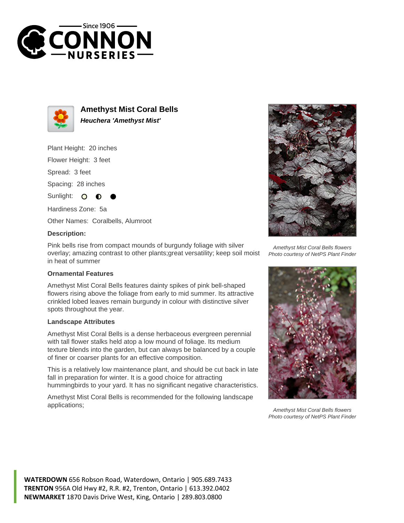



**Amethyst Mist Coral Bells Heuchera 'Amethyst Mist'**

Plant Height: 20 inches

Flower Height: 3 feet

Spread: 3 feet

Spacing: 28 inches

Sunlight:  $\mathbf{O}$ 

Hardiness Zone: 5a

Other Names: Coralbells, Alumroot

## **Description:**

Pink bells rise from compact mounds of burgundy foliage with silver overlay; amazing contrast to other plants;great versatility; keep soil moist in heat of summer

## **Ornamental Features**

Amethyst Mist Coral Bells features dainty spikes of pink bell-shaped flowers rising above the foliage from early to mid summer. Its attractive crinkled lobed leaves remain burgundy in colour with distinctive silver spots throughout the year.

## **Landscape Attributes**

Amethyst Mist Coral Bells is a dense herbaceous evergreen perennial with tall flower stalks held atop a low mound of foliage. Its medium texture blends into the garden, but can always be balanced by a couple of finer or coarser plants for an effective composition.

This is a relatively low maintenance plant, and should be cut back in late fall in preparation for winter. It is a good choice for attracting hummingbirds to your yard. It has no significant negative characteristics.

Amethyst Mist Coral Bells is recommended for the following landscape applications;



Amethyst Mist Coral Bells flowers Photo courtesy of NetPS Plant Finder



Amethyst Mist Coral Bells flowers Photo courtesy of NetPS Plant Finder

**WATERDOWN** 656 Robson Road, Waterdown, Ontario | 905.689.7433 **TRENTON** 956A Old Hwy #2, R.R. #2, Trenton, Ontario | 613.392.0402 **NEWMARKET** 1870 Davis Drive West, King, Ontario | 289.803.0800